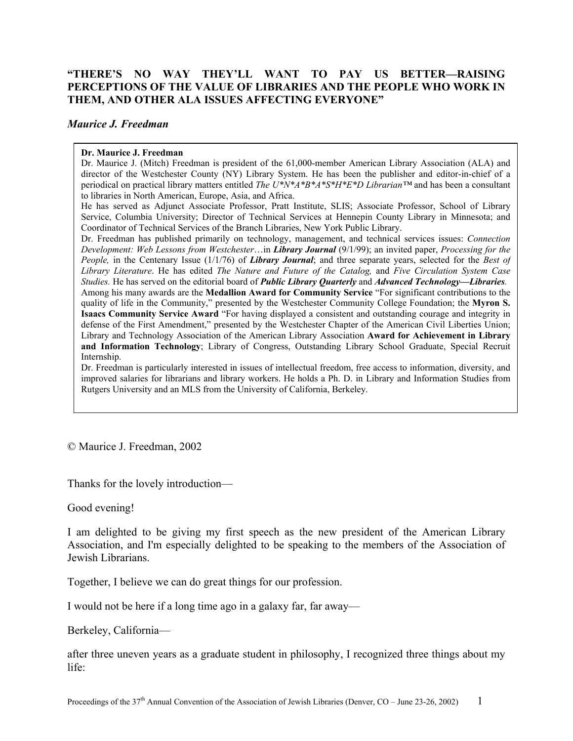## **"THERE'S NO WAY THEY'LL WANT TO PAY US BETTER—RAISING PERCEPTIONS OF THE VALUE OF LIBRARIES AND THE PEOPLE WHO WORK IN THEM, AND OTHER ALA ISSUES AFFECTING EVERYONE"**

## *Maurice J. Freedman*

## **Dr. Maurice J. Freedman**

Dr. Maurice J. (Mitch) Freedman is president of the 61,000-member American Library Association (ALA) and director of the Westchester County (NY) Library System. He has been the publisher and editor-in-chief of a periodical on practical library matters entitled *The U\*N\*A\*B\*A\*S\*H\*E\*D Librarian™* and has been a consultant to libraries in North American, Europe, Asia, and Africa.

He has served as Adjunct Associate Professor, Pratt Institute, SLIS; Associate Professor, School of Library Service, Columbia University; Director of Technical Services at Hennepin County Library in Minnesota; and Coordinator of Technical Services of the Branch Libraries, New York Public Library.

Dr. Freedman has published primarily on technology, management, and technical services issues: *Connection Development: Web Lessons from Westchester*…in *Library Journal* (9/1/99); an invited paper, *Processing for the People,* in the Centenary Issue (1/1/76) of *Library Journal*; and three separate years, selected for the *Best of Library Literature*. He has edited *The Nature and Future of the Catalog,* and *Five Circulation System Case Studies.* He has served on the editorial board of *Public Library Quarterly* and *Advanced Technology—Libraries.* 

Among his many awards are the **Medallion Award for Community Service** "For significant contributions to the quality of life in the Community," presented by the Westchester Community College Foundation; the **Myron S. Isaacs Community Service Award** "For having displayed a consistent and outstanding courage and integrity in defense of the First Amendment," presented by the Westchester Chapter of the American Civil Liberties Union; Library and Technology Association of the American Library Association **Award for Achievement in Library and Information Technology**; Library of Congress, Outstanding Library School Graduate, Special Recruit Internship.

Dr. Freedman is particularly interested in issues of intellectual freedom, free access to information, diversity, and improved salaries for librarians and library workers. He holds a Ph. D. in Library and Information Studies from Rutgers University and an MLS from the University of California, Berkeley.

© Maurice J. Freedman, 2002

Thanks for the lovely introduction—

Good evening!

I am delighted to be giving my first speech as the new president of the American Library Association, and I'm especially delighted to be speaking to the members of the Association of Jewish Librarians.

Together, I believe we can do great things for our profession.

I would not be here if a long time ago in a galaxy far, far away—

Berkeley, California—

after three uneven years as a graduate student in philosophy, I recognized three things about my life: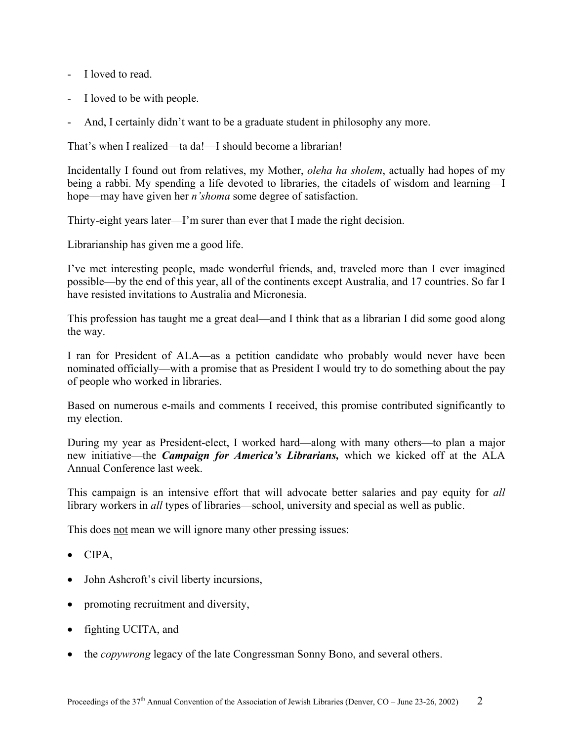- I loved to read.
- I loved to be with people.
- And, I certainly didn't want to be a graduate student in philosophy any more.

That's when I realized—ta da!—I should become a librarian!

Incidentally I found out from relatives, my Mother, *oleha ha sholem*, actually had hopes of my being a rabbi. My spending a life devoted to libraries, the citadels of wisdom and learning—I hope—may have given her *n'shoma* some degree of satisfaction.

Thirty-eight years later—I'm surer than ever that I made the right decision.

Librarianship has given me a good life.

I've met interesting people, made wonderful friends, and, traveled more than I ever imagined possible—by the end of this year, all of the continents except Australia, and 17 countries. So far I have resisted invitations to Australia and Micronesia.

This profession has taught me a great deal—and I think that as a librarian I did some good along the way.

I ran for President of ALA—as a petition candidate who probably would never have been nominated officially—with a promise that as President I would try to do something about the pay of people who worked in libraries.

Based on numerous e-mails and comments I received, this promise contributed significantly to my election.

During my year as President-elect, I worked hard—along with many others—to plan a major new initiative—the *Campaign for America's Librarians,* which we kicked off at the ALA Annual Conference last week.

This campaign is an intensive effort that will advocate better salaries and pay equity for *all* library workers in *all* types of libraries—school, university and special as well as public.

This does not mean we will ignore many other pressing issues:

- CIPA,
- John Ashcroft's civil liberty incursions,
- promoting recruitment and diversity,
- fighting UCITA, and
- the *copywrong* legacy of the late Congressman Sonny Bono, and several others.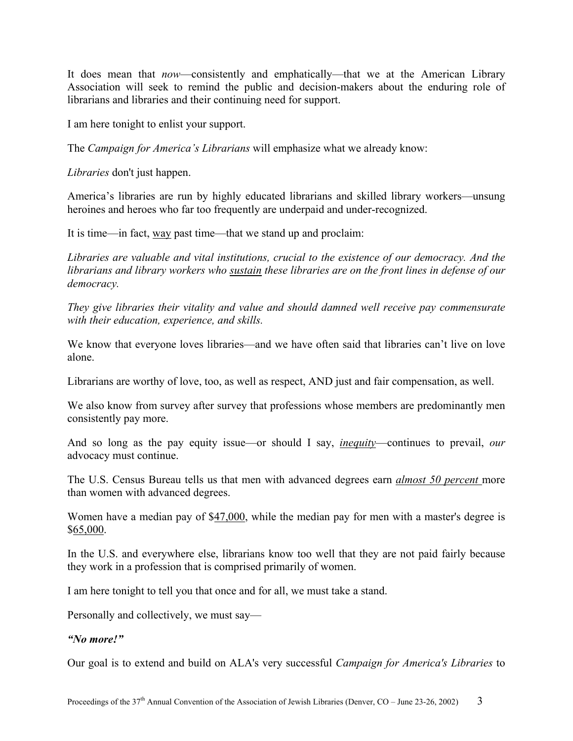It does mean that *now*—consistently and emphatically—that we at the American Library Association will seek to remind the public and decision-makers about the enduring role of librarians and libraries and their continuing need for support.

I am here tonight to enlist your support.

The *Campaign for America's Librarians* will emphasize what we already know:

*Libraries* don't just happen.

America's libraries are run by highly educated librarians and skilled library workers—unsung heroines and heroes who far too frequently are underpaid and under-recognized.

It is time—in fact, way past time—that we stand up and proclaim:

*Libraries are valuable and vital institutions, crucial to the existence of our democracy. And the librarians and library workers who sustain these libraries are on the front lines in defense of our democracy.*

*They give libraries their vitality and value and should damned well receive pay commensurate with their education, experience, and skills.* 

We know that everyone loves libraries—and we have often said that libraries can't live on love alone.

Librarians are worthy of love, too, as well as respect, AND just and fair compensation, as well.

We also know from survey after survey that professions whose members are predominantly men consistently pay more.

And so long as the pay equity issue—or should I say, *inequity*—continues to prevail, *our* advocacy must continue.

The U.S. Census Bureau tells us that men with advanced degrees earn *almost 50 percent* more than women with advanced degrees.

Women have a median pay of \$47,000, while the median pay for men with a master's degree is \$65,000.

In the U.S. and everywhere else, librarians know too well that they are not paid fairly because they work in a profession that is comprised primarily of women.

I am here tonight to tell you that once and for all, we must take a stand.

Personally and collectively, we must say—

## *"No more!"*

Our goal is to extend and build on ALA's very successful *Campaign for America's Libraries* to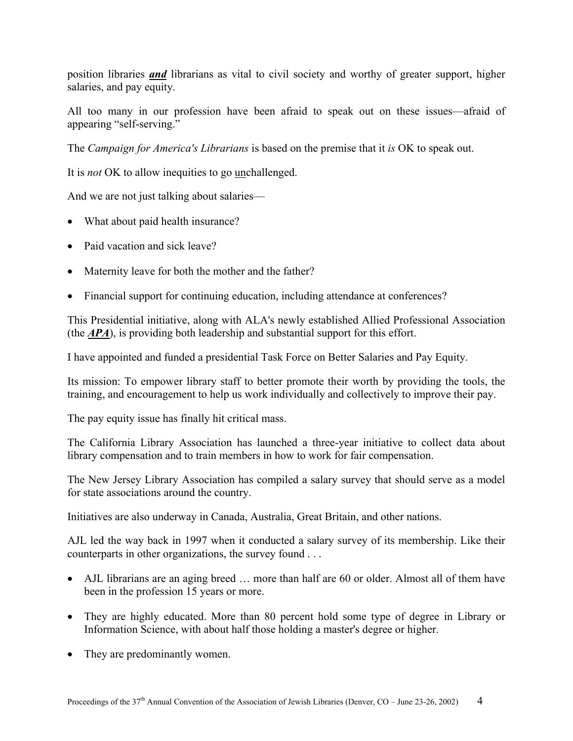position libraries *and* librarians as vital to civil society and worthy of greater support, higher salaries, and pay equity.

All too many in our profession have been afraid to speak out on these issues—afraid of appearing "self-serving."

The *Campaign for America's Librarians* is based on the premise that it *is* OK to speak out.

It is *not* OK to allow inequities to go unchallenged.

And we are not just talking about salaries—

- What about paid health insurance?
- Paid vacation and sick leave?
- Maternity leave for both the mother and the father?
- Financial support for continuing education, including attendance at conferences?

This Presidential initiative, along with ALA's newly established Allied Professional Association (the *APA*), is providing both leadership and substantial support for this effort.

I have appointed and funded a presidential Task Force on Better Salaries and Pay Equity.

Its mission: To empower library staff to better promote their worth by providing the tools, the training, and encouragement to help us work individually and collectively to improve their pay.

The pay equity issue has finally hit critical mass.

The California Library Association has launched a three-year initiative to collect data about library compensation and to train members in how to work for fair compensation.

The New Jersey Library Association has compiled a salary survey that should serve as a model for state associations around the country.

Initiatives are also underway in Canada, Australia, Great Britain, and other nations.

AJL led the way back in 1997 when it conducted a salary survey of its membership. Like their counterparts in other organizations, the survey found . . .

- AJL librarians are an aging breed ... more than half are 60 or older. Almost all of them have been in the profession 15 years or more.
- They are highly educated. More than 80 percent hold some type of degree in Library or Information Science, with about half those holding a master's degree or higher.
- They are predominantly women.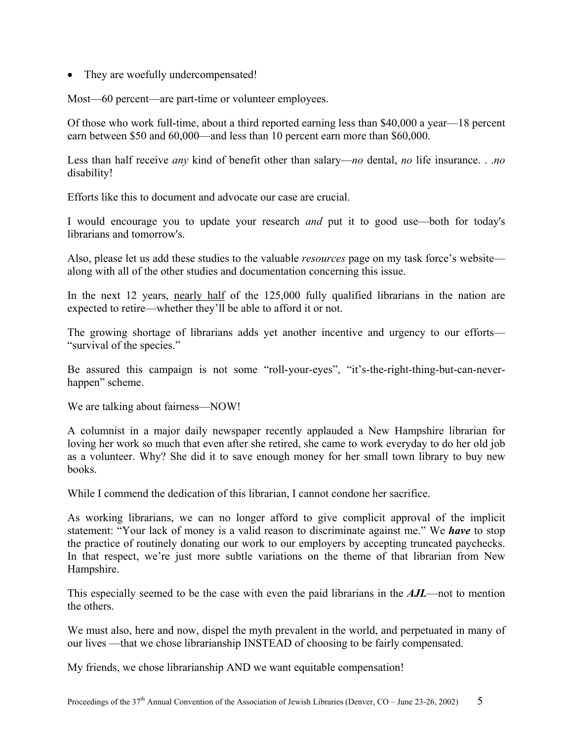• They are woefully undercompensated!

Most—60 percent—are part-time or volunteer employees.

Of those who work full-time, about a third reported earning less than \$40,000 a year—18 percent earn between \$50 and 60,000—and less than 10 percent earn more than \$60,000.

Less than half receive *any* kind of benefit other than salary—*no* dental, *no* life insurance. . .*no*  disability!

Efforts like this to document and advocate our case are crucial.

I would encourage you to update your research *and* put it to good use—both for today's librarians and tomorrow's.

Also, please let us add these studies to the valuable *resources* page on my task force's website along with all of the other studies and documentation concerning this issue.

In the next 12 years, nearly half of the 125,000 fully qualified librarians in the nation are expected to retire—whether they'll be able to afford it or not.

The growing shortage of librarians adds yet another incentive and urgency to our efforts— "survival of the species."

Be assured this campaign is not some "roll-your-eyes", "it's-the-right-thing-but-can-neverhappen" scheme.

We are talking about fairness—NOW!

A columnist in a major daily newspaper recently applauded a New Hampshire librarian for loving her work so much that even after she retired, she came to work everyday to do her old job as a volunteer. Why? She did it to save enough money for her small town library to buy new books.

While I commend the dedication of this librarian, I cannot condone her sacrifice.

As working librarians, we can no longer afford to give complicit approval of the implicit statement: "Your lack of money is a valid reason to discriminate against me." We *have* to stop the practice of routinely donating our work to our employers by accepting truncated paychecks. In that respect, we're just more subtle variations on the theme of that librarian from New Hampshire.

This especially seemed to be the case with even the paid librarians in the *AJL*—not to mention the others.

We must also, here and now, dispel the myth prevalent in the world, and perpetuated in many of our lives —that we chose librarianship INSTEAD of choosing to be fairly compensated.

My friends, we chose librarianship AND we want equitable compensation!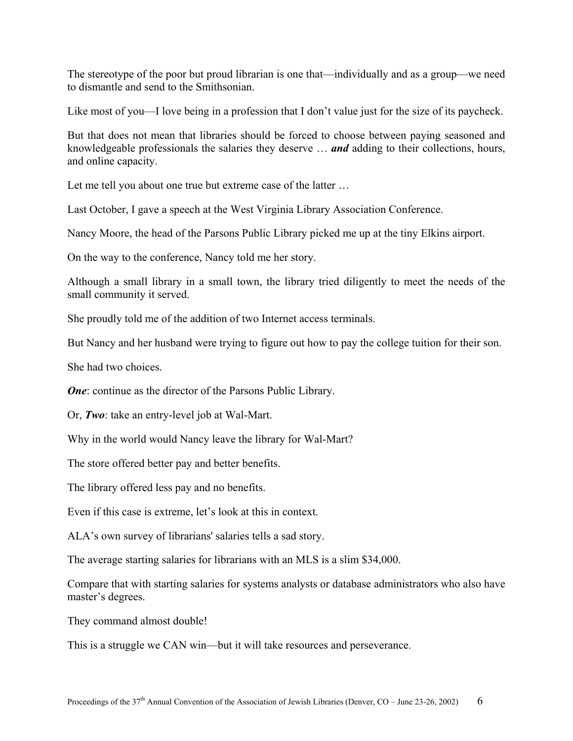The stereotype of the poor but proud librarian is one that—individually and as a group—we need to dismantle and send to the Smithsonian.

Like most of you—I love being in a profession that I don't value just for the size of its paycheck.

But that does not mean that libraries should be forced to choose between paying seasoned and knowledgeable professionals the salaries they deserve … *and* adding to their collections, hours, and online capacity.

Let me tell you about one true but extreme case of the latter …

Last October, I gave a speech at the West Virginia Library Association Conference.

Nancy Moore, the head of the Parsons Public Library picked me up at the tiny Elkins airport.

On the way to the conference, Nancy told me her story.

Although a small library in a small town, the library tried diligently to meet the needs of the small community it served.

She proudly told me of the addition of two Internet access terminals.

But Nancy and her husband were trying to figure out how to pay the college tuition for their son.

She had two choices.

*One*: continue as the director of the Parsons Public Library.

Or, *Two*: take an entry-level job at Wal-Mart.

Why in the world would Nancy leave the library for Wal-Mart?

The store offered better pay and better benefits.

The library offered less pay and no benefits.

Even if this case is extreme, let's look at this in context.

ALA's own survey of librarians' salaries tells a sad story.

The average starting salaries for librarians with an MLS is a slim \$34,000.

Compare that with starting salaries for systems analysts or database administrators who also have master's degrees.

They command almost double!

This is a struggle we CAN win—but it will take resources and perseverance.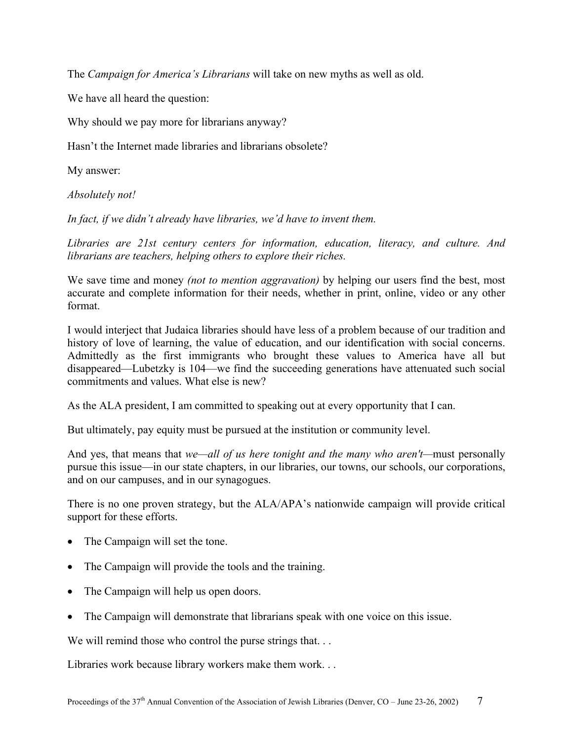The *Campaign for America's Librarians* will take on new myths as well as old.

We have all heard the question:

Why should we pay more for librarians anyway?

Hasn't the Internet made libraries and librarians obsolete?

My answer:

*Absolutely not!* 

*In fact, if we didn't already have libraries, we'd have to invent them.* 

*Libraries are 21st century centers for information, education, literacy, and culture. And librarians are teachers, helping others to explore their riches.* 

We save time and money *(not to mention aggravation)* by helping our users find the best, most accurate and complete information for their needs, whether in print, online, video or any other format.

I would interject that Judaica libraries should have less of a problem because of our tradition and history of love of learning, the value of education, and our identification with social concerns. Admittedly as the first immigrants who brought these values to America have all but disappeared—Lubetzky is 104—we find the succeeding generations have attenuated such social commitments and values. What else is new?

As the ALA president, I am committed to speaking out at every opportunity that I can.

But ultimately, pay equity must be pursued at the institution or community level.

And yes, that means that *we—all of us here tonight and the many who aren't—*must personally pursue this issue—in our state chapters, in our libraries, our towns, our schools, our corporations, and on our campuses, and in our synagogues.

There is no one proven strategy, but the ALA/APA's nationwide campaign will provide critical support for these efforts.

- The Campaign will set the tone.
- The Campaign will provide the tools and the training.
- The Campaign will help us open doors.
- The Campaign will demonstrate that librarians speak with one voice on this issue.

We will remind those who control the purse strings that...

Libraries work because library workers make them work. . .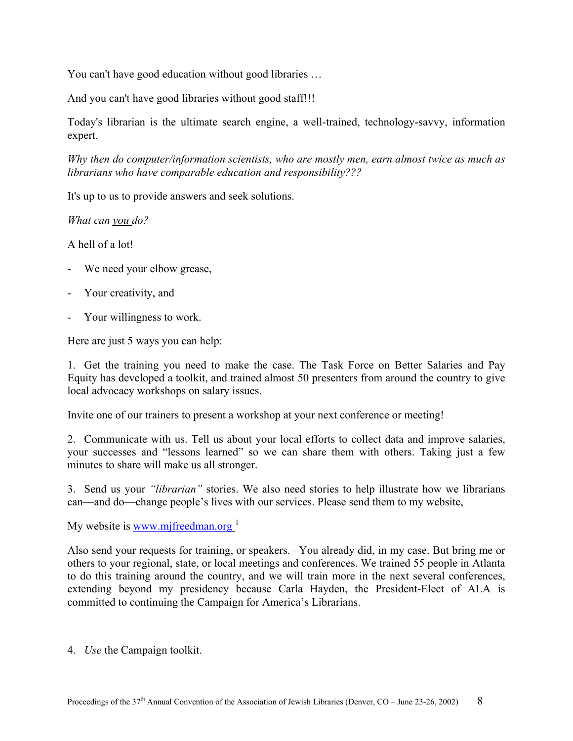You can't have good education without good libraries …

And you can't have good libraries without good staff!!!

Today's librarian is the ultimate search engine, a well-trained, technology-savvy, information expert.

*Why then do computer/information scientists, who are mostly men, earn almost twice as much as librarians who have comparable education and responsibility???* 

It's up to us to provide answers and seek solutions.

*What can you do?* 

A hell of a lot!

- We need your elbow grease,
- Your creativity, and
- Your willingness to work.

Here are just 5 ways you can help:

1. Get the training you need to make the case. The Task Force on Better Salaries and Pay Equity has developed a toolkit, and trained almost 50 presenters from around the country to give local advocacy workshops on salary issues.

Invite one of our trainers to present a workshop at your next conference or meeting!

2. Communicate with us. Tell us about your local efforts to collect data and improve salaries, your successes and "lessons learned" so we can share them with others. Taking just a few minutes to share will make us all stronger.

3. Send us your *"librarian"* stories. We also need stories to help illustrate how we librarians can—and do—change people's lives with our services. Please send them to my website,

My website is [www.mjfreedman.org](http://www.mjfreedman.org/) $<sup>1</sup>$  $<sup>1</sup>$  $<sup>1</sup>$ </sup>

Also send your requests for training, or speakers. –You already did, in my case. But bring me or others to your regional, state, or local meetings and conferences. We trained 55 people in Atlanta to do this training around the country, and we will train more in the next several conferences, extending beyond my presidency because Carla Hayden, the President-Elect of ALA is committed to continuing the Campaign for America's Librarians.

4. *Use* the Campaign toolkit.